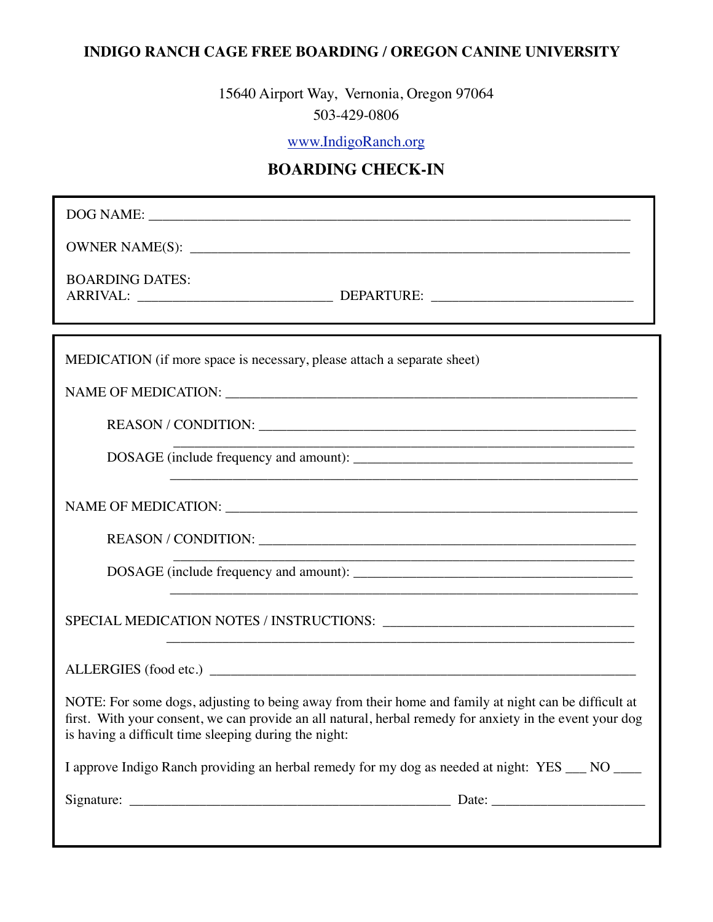## **INDIGO RANCH CAGE FREE BOARDING / OREGON CANINE UNIVERSITY**

15640 Airport Way, Vernonia, Oregon 97064 503-429-0806

[www.IndigoRanch.org](http://www.IndigoRanch.org)

## **BOARDING CHECK-IN**

| <b>BOARDING DATES:</b>                                                                                                                                                                                                                                                    |
|---------------------------------------------------------------------------------------------------------------------------------------------------------------------------------------------------------------------------------------------------------------------------|
| MEDICATION (if more space is necessary, please attach a separate sheet)                                                                                                                                                                                                   |
|                                                                                                                                                                                                                                                                           |
|                                                                                                                                                                                                                                                                           |
|                                                                                                                                                                                                                                                                           |
|                                                                                                                                                                                                                                                                           |
|                                                                                                                                                                                                                                                                           |
|                                                                                                                                                                                                                                                                           |
| and the control of the control of the control of the control of the control of the control of the control of the                                                                                                                                                          |
|                                                                                                                                                                                                                                                                           |
| NOTE: For some dogs, adjusting to being away from their home and family at night can be difficult at<br>first. With your consent, we can provide an all natural, herbal remedy for anxiety in the event your dog<br>is having a difficult time sleeping during the night: |
| I approve Indigo Ranch providing an herbal remedy for my dog as needed at night: YES __ NO ___                                                                                                                                                                            |
|                                                                                                                                                                                                                                                                           |
|                                                                                                                                                                                                                                                                           |